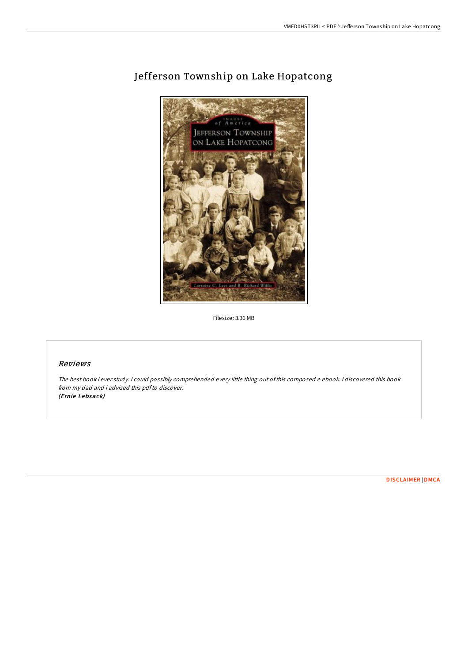

# Jefferson Township on Lake Hopatcong

Filesize: 3.36 MB

# Reviews

The best book i ever study. <sup>I</sup> could possibly comprehended every little thing out ofthis composed <sup>e</sup> ebook. <sup>I</sup> discovered this book from my dad and i advised this pdfto discover. (Ernie Lebsack)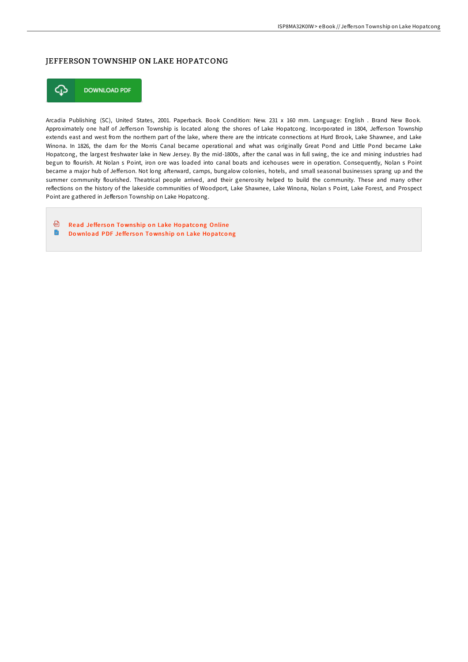## JEFFERSON TOWNSHIP ON LAKE HOPATCONG



Arcadia Publishing (SC), United States, 2001. Paperback. Book Condition: New. 231 x 160 mm. Language: English . Brand New Book. Approximately one half of Jefferson Township is located along the shores of Lake Hopatcong. Incorporated in 1804, Jefferson Township extends east and west from the northern part of the lake, where there are the intricate connections at Hurd Brook, Lake Shawnee, and Lake Winona. In 1826, the dam for the Morris Canal became operational and what was originally Great Pond and Little Pond became Lake Hopatcong, the largest freshwater lake in New Jersey. By the mid-1800s, after the canal was in full swing, the ice and mining industries had begun to flourish. At Nolan s Point, iron ore was loaded into canal boats and icehouses were in operation. Consequently, Nolan s Point became a major hub of Jefferson. Not long afterward, camps, bungalow colonies, hotels, and small seasonal businesses sprang up and the summer community flourished. Theatrical people arrived, and their generosity helped to build the community. These and many other reflections on the history of the lakeside communities of Woodport, Lake Shawnee, Lake Winona, Nolan s Point, Lake Forest, and Prospect Point are gathered in Jefferson Township on Lake Hopatcong.

⊕ Read Jefferson To[wnship](http://almighty24.tech/jefferson-township-on-lake-hopatcong-paperback.html) on Lake Hopatcong Online B Download PDF Jefferson To[wnship](http://almighty24.tech/jefferson-township-on-lake-hopatcong-paperback.html) on Lake Hopatcong